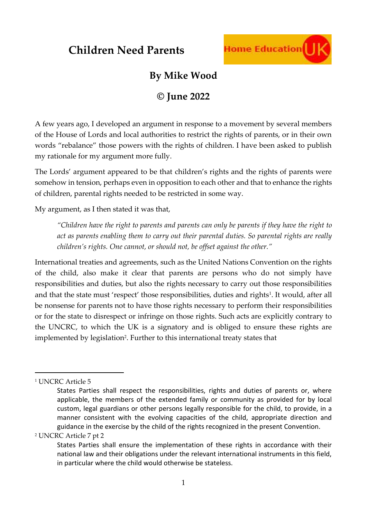

### **By Mike Wood**

### **© June 2022**

A few years ago, I developed an argument in response to a movement by several members of the House of Lords and local authorities to restrict the rights of parents, or in their own words "rebalance" those powers with the rights of children. I have been asked to publish my rationale for my argument more fully.

The Lords' argument appeared to be that children's rights and the rights of parents were somehow in tension, perhaps even in opposition to each other and that to enhance the rights of children, parental rights needed to be restricted in some way.

My argument, as I then stated it was that,

*"Children have the right to parents and parents can only be parents if they have the right to act as parents enabling them to carry out their parental duties. So parental rights are really children's rights. One cannot, or should not, be offset against the other."*

International treaties and agreements, such as the United Nations Convention on the rights of the child, also make it clear that parents are persons who do not simply have responsibilities and duties, but also the rights necessary to carry out those responsibilities and that the state must 'respect' those responsibilities, duties and rights<sup>1</sup>. It would, after all be nonsense for parents not to have those rights necessary to perform their responsibilities or for the state to disrespect or infringe on those rights. Such acts are explicitly contrary to the UNCRC, to which the UK is a signatory and is obliged to ensure these rights are implemented by legislation<sup>2</sup>. Further to this international treaty states that

<sup>2</sup> UNCRC Article 7 pt 2

<sup>&</sup>lt;sup>1</sup> UNCRC Article 5

States Parties shall respect the responsibilities, rights and duties of parents or, where applicable, the members of the extended family or community as provided for by local custom, legal guardians or other persons legally responsible for the child, to provide, in a manner consistent with the evolving capacities of the child, appropriate direction and guidance in the exercise by the child of the rights recognized in the present Convention.

States Parties shall ensure the implementation of these rights in accordance with their national law and their obligations under the relevant international instruments in this field, in particular where the child would otherwise be stateless.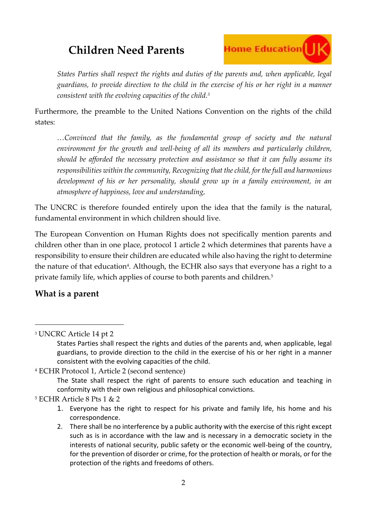# **Home Education**

*States Parties shall respect the rights and duties of the parents and, when applicable, legal guardians, to provide direction to the child in the exercise of his or her right in a manner consistent with the evolving capacities of the child.<sup>3</sup>*

Furthermore, the preamble to the United Nations Convention on the rights of the child states:

*…Convinced that the family, as the fundamental group of society and the natural environment for the growth and well-being of all its members and particularly children, should be afforded the necessary protection and assistance so that it can fully assume its responsibilities within the community, Recognizing that the child, for the full and harmonious development of his or her personality, should grow up in a family environment, in an atmosphere of happiness, love and understanding,*

The UNCRC is therefore founded entirely upon the idea that the family is the natural, fundamental environment in which children should live.

The European Convention on Human Rights does not specifically mention parents and children other than in one place, protocol 1 article 2 which determines that parents have a responsibility to ensure their children are educated while also having the right to determine the nature of that education<sup>4</sup>. Although, the ECHR also says that everyone has a right to a private family life, which applies of course to both parents and children.<sup>5</sup>

#### **What is a parent**

<sup>3</sup> UNCRC Article 14 pt 2

```
4 ECHR Protocol 1, Article 2 (second sentence)
```
The State shall respect the right of parents to ensure such education and teaching in conformity with their own religious and philosophical convictions.

<sup>5</sup> ECHR Article 8 Pts 1 & 2

States Parties shall respect the rights and duties of the parents and, when applicable, legal guardians, to provide direction to the child in the exercise of his or her right in a manner consistent with the evolving capacities of the child.

<sup>1.</sup> Everyone has the right to respect for his private and family life, his home and his correspondence.

<sup>2.</sup> There shall be no interference by a public authority with the exercise of this right except such as is in accordance with the law and is necessary in a democratic society in the interests of national security, public safety or the economic well-being of the country, for the prevention of disorder or crime, for the protection of health or morals, or for the protection of the rights and freedoms of others.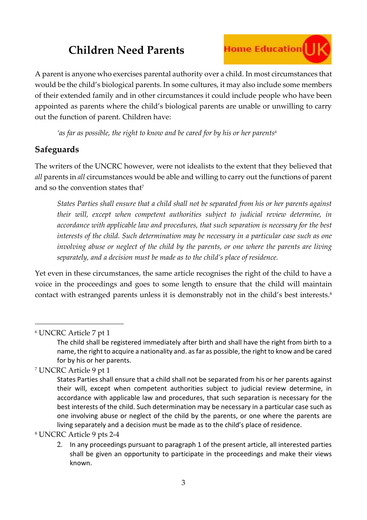### **Home Education**

A parent is anyone who exercises parental authority over a child. In most circumstances that would be the child's biological parents. In some cultures, it may also include some members of their extended family and in other circumstances it could include people who have been appointed as parents where the child's biological parents are unable or unwilling to carry out the function of parent. Children have:

*'as far as possible, the right to know and be cared for by his or her parents<sup>6</sup>*

#### **Safeguards**

The writers of the UNCRC however, were not idealists to the extent that they believed that *all* parents in *all* circumstances would be able and willing to carry out the functions of parent and so the convention states that<sup>7</sup>

*States Parties shall ensure that a child shall not be separated from his or her parents against their will, except when competent authorities subject to judicial review determine, in accordance with applicable law and procedures, that such separation is necessary for the best interests of the child. Such determination may be necessary in a particular case such as one involving abuse or neglect of the child by the parents, or one where the parents are living separately, and a decision must be made as to the child's place of residence.*

Yet even in these circumstances, the same article recognises the right of the child to have a voice in the proceedings and goes to some length to ensure that the child will maintain contact with estranged parents unless it is demonstrably not in the child's best interests.<sup>8</sup>

<sup>6</sup> UNCRC Article 7 pt 1

<sup>7</sup> UNCRC Article 9 pt 1

<sup>8</sup> UNCRC Article 9 pts 2-4

The child shall be registered immediately after birth and shall have the right from birth to a name, the right to acquire a nationality and. as far as possible, the right to know and be cared for by his or her parents.

States Parties shall ensure that a child shall not be separated from his or her parents against their will, except when competent authorities subject to judicial review determine, in accordance with applicable law and procedures, that such separation is necessary for the best interests of the child. Such determination may be necessary in a particular case such as one involving abuse or neglect of the child by the parents, or one where the parents are living separately and a decision must be made as to the child's place of residence.

<sup>2</sup>. In any proceedings pursuant to paragraph 1 of the present article, all interested parties shall be given an opportunity to participate in the proceedings and make their views known.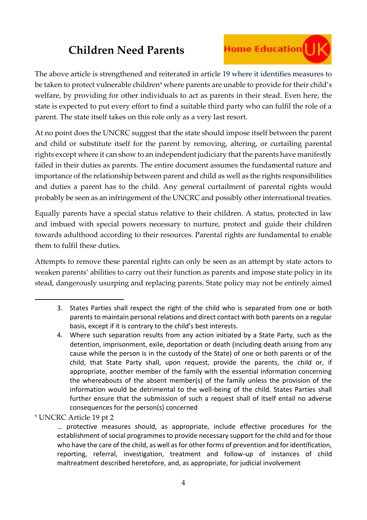### **Home Education** | | K

The above article is strengthened and reiterated in article 19 where it identifies measures to be taken to protect vulnerable children<sup>9</sup> where parents are unable to provide for their child's welfare, by providing for other individuals to act as parents in their stead. Even here, the state is expected to put every effort to find a suitable third party who can fulfil the role of a parent. The state itself takes on this role only as a very last resort.

At no point does the UNCRC suggest that the state should impose itself between the parent and child or substitute itself for the parent by removing, altering, or curtailing parental rights except where it can show to an independent judiciary that the parents have manifestly failed in their duties as parents. The entire document assumes the fundamental nature and importance of the relationship between parent and child as well as the rights responsibilities and duties a parent has to the child. Any general curtailment of parental rights would probably be seen as an infringement of the UNCRC and possibly other international treaties.

Equally parents have a special status relative to their children. A status, protected in law and imbued with special powers necessary to nurture, protect and guide their children towards adulthood according to their resources. Parental rights are fundamental to enable them to fulfil these duties.

Attempts to remove these parental rights can only be seen as an attempt by state actors to weaken parents' abilities to carry out their function as parents and impose state policy in its stead, dangerously usurping and replacing parents. State policy may not be entirely aimed

<sup>9</sup> UNCRC Article 19 pt 2

<sup>3.</sup> States Parties shall respect the right of the child who is separated from one or both parents to maintain personal relations and direct contact with both parents on a regular basis, except if it is contrary to the child's best interests.

<sup>4.</sup> Where such separation results from any action initiated by a State Party, such as the detention, imprisonment, exile, deportation or death (including death arising from any cause while the person is in the custody of the State) of one or both parents or of the child, that State Party shall, upon request, provide the parents, the child or, if appropriate, another member of the family with the essential information concerning the whereabouts of the absent member(s) of the family unless the provision of the information would be detrimental to the well-being of the child. States Parties shall further ensure that the submission of such a request shall of itself entail no adverse consequences for the person(s) concerned

<sup>…</sup> protective measures should, as appropriate, include effective procedures for the establishment of social programmes to provide necessary support for the child and for those who have the care of the child, as well as for other forms of prevention and for identification, reporting, referral, investigation, treatment and follow-up of instances of child maltreatment described heretofore, and, as appropriate, for judicial involvement